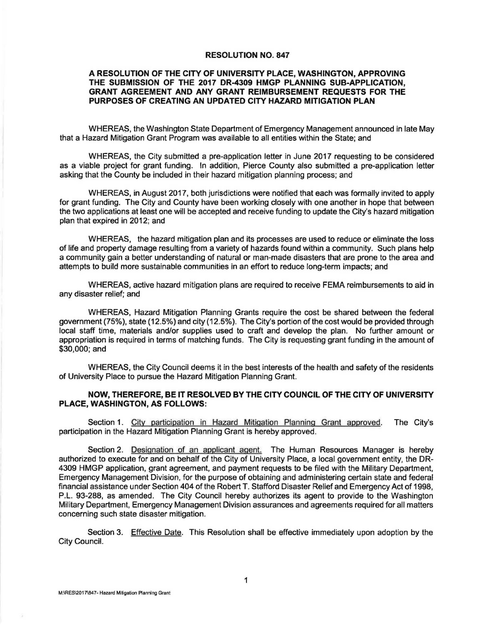## **RESOLUTION NO. 847**

## **A RESOLUTION OF THE CITY OF UNIVERSITY PLACE, WASHINGTON, APPROVING THE SUBMISSION OF THE 2017 DR-4309 HMGP PLANNING SUB-APPLICATION, GRANT AGREEMENT AND ANY GRANT REIMBURSEMENT REQUESTS FOR THE PURPOSES OF CREATING AN UPDATED CITY HAZARD MITIGATION PLAN**

WHEREAS, the Washington State Department of Emergency Management announced in late May that a Hazard Mitigation Grant Program was available to all entities within the State; and

WHEREAS, the City submitted a pre-application letter in June 2017 requesting to be considered as a viable project for grant funding. In addition, Pierce County also submitted a pre-application letter asking that the County be included in their hazard mitigation planning process; and

WHEREAS, in August 2017, both jurisdictions were notified that each was formally invited to apply for grant funding. The City and County have been working closely with one another in hope that between the two applications at least one will be accepted and receive funding to update the City's hazard mitigation plan that expired in 2012; and

WHEREAS, the hazard mitigation plan and its processes are used to reduce or eliminate the loss of life and property damage resulting from a variety of hazards found within a community. Such plans help a community gain a better understanding of natural or man-made disasters that are prone to the area and attempts to build more sustainable communities in an effort to reduce long-term impacts; and

WHEREAS, active hazard mitigation plans are required to receive FEMA reimbursements to aid in any disaster relief; and

WHEREAS, Hazard Mitigation Planning Grants require the cost be shared between the federal government (75%), state (12.5%) and city {12.5%). The City's portion of the cost would be provided through local staff time, materials and/or supplies used to craft and develop the plan. No further amount or appropriation is required in terms of matching funds. The City is requesting grant funding in the amount of \$30,000; and

WHEREAS, the City Council deems it in the best interests of the health and safety of the residents of University Place to pursue the Hazard Mitigation Planning Grant.

## **NOW, THEREFORE, BE IT RESOLVED BY THE CITY COUNCIL OF THE CITY OF UNIVERSITY PLACE, WASHINGTON, AS FOLLOWS:**

Section 1. City participation in Hazard Mitigation Planning Grant approved. The City's participation in the Hazard Mitigation Planning Grant is hereby approved.

Section 2. Designation of an applicant agent. The Human Resources Manager is hereby authorized to execute for and on behalf of the City of University Place, a local government entity, the DR-4309 HMGP application, grant agreement, and payment requests to be filed with the Military Department, Emergency Management Division, for the purpose of obtaining and administering certain state and federal financial assistance under Section 404 of the Robert T. Stafford Disaster Relief and Emergency Act of 1998, P.L. 93-288, as amended. The City Council hereby authorizes its agent to provide to the Washington Military Department, Emergency Management Division assurances and agreements required for all matters concerning such state disaster mitigation.

Section 3. Effective Date. This Resolution shall be effective immediately upon adoption by the City Council.